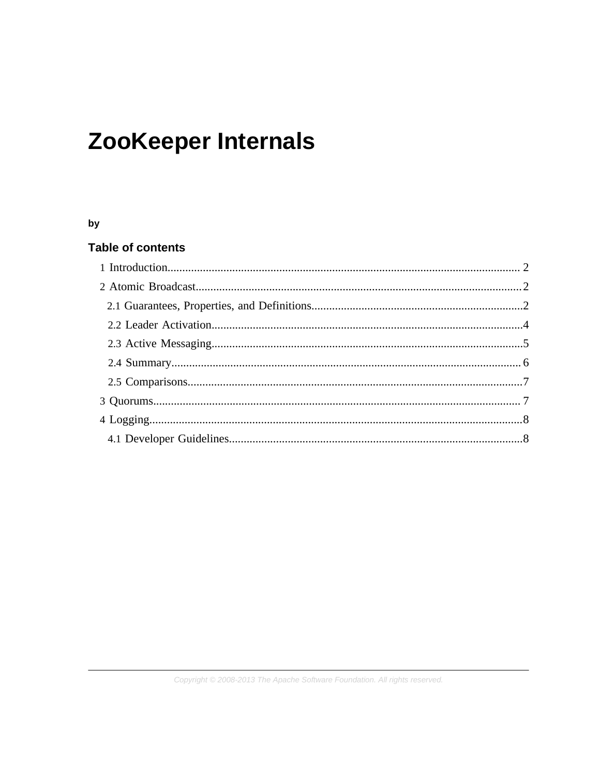# **ZooKeeper Internals**

#### by

## **Table of contents**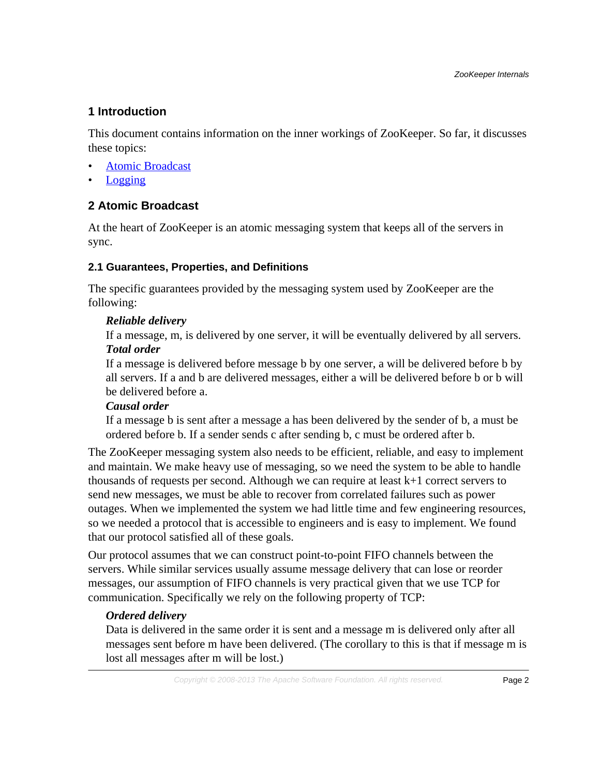# <span id="page-1-0"></span>**1 Introduction**

This document contains information on the inner workings of ZooKeeper. So far, it discusses these topics:

- **[Atomic Broadcast](#page-1-1)**
- **[Logging](#page-7-0)**

# <span id="page-1-1"></span>**2 Atomic Broadcast**

At the heart of ZooKeeper is an atomic messaging system that keeps all of the servers in sync.

## <span id="page-1-2"></span>**2.1 Guarantees, Properties, and Definitions**

The specific guarantees provided by the messaging system used by ZooKeeper are the following:

# *Reliable delivery*

If a message, m, is delivered by one server, it will be eventually delivered by all servers. *Total order*

If a message is delivered before message b by one server, a will be delivered before b by all servers. If a and b are delivered messages, either a will be delivered before b or b will be delivered before a.

# *Causal order*

If a message b is sent after a message a has been delivered by the sender of b, a must be ordered before b. If a sender sends c after sending b, c must be ordered after b.

The ZooKeeper messaging system also needs to be efficient, reliable, and easy to implement and maintain. We make heavy use of messaging, so we need the system to be able to handle thousands of requests per second. Although we can require at least  $k+1$  correct servers to send new messages, we must be able to recover from correlated failures such as power outages. When we implemented the system we had little time and few engineering resources, so we needed a protocol that is accessible to engineers and is easy to implement. We found that our protocol satisfied all of these goals.

Our protocol assumes that we can construct point-to-point FIFO channels between the servers. While similar services usually assume message delivery that can lose or reorder messages, our assumption of FIFO channels is very practical given that we use TCP for communication. Specifically we rely on the following property of TCP:

# *Ordered delivery*

Data is delivered in the same order it is sent and a message m is delivered only after all messages sent before m have been delivered. (The corollary to this is that if message m is lost all messages after m will be lost.)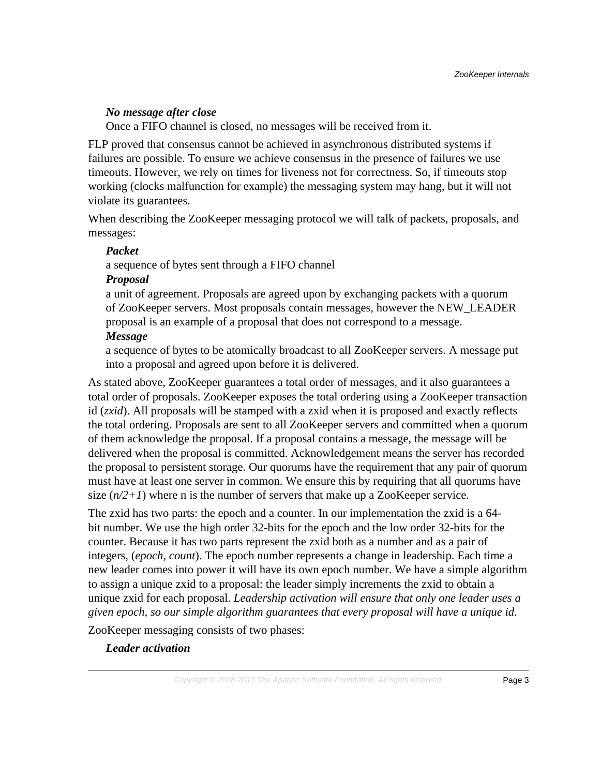#### *No message after close*

Once a FIFO channel is closed, no messages will be received from it.

FLP proved that consensus cannot be achieved in asynchronous distributed systems if failures are possible. To ensure we achieve consensus in the presence of failures we use timeouts. However, we rely on times for liveness not for correctness. So, if timeouts stop working (clocks malfunction for example) the messaging system may hang, but it will not violate its guarantees.

When describing the ZooKeeper messaging protocol we will talk of packets, proposals, and messages:

#### *Packet*

a sequence of bytes sent through a FIFO channel

#### *Proposal*

a unit of agreement. Proposals are agreed upon by exchanging packets with a quorum of ZooKeeper servers. Most proposals contain messages, however the NEW\_LEADER proposal is an example of a proposal that does not correspond to a message.

#### *Message*

a sequence of bytes to be atomically broadcast to all ZooKeeper servers. A message put into a proposal and agreed upon before it is delivered.

As stated above, ZooKeeper guarantees a total order of messages, and it also guarantees a total order of proposals. ZooKeeper exposes the total ordering using a ZooKeeper transaction id (*zxid*). All proposals will be stamped with a zxid when it is proposed and exactly reflects the total ordering. Proposals are sent to all ZooKeeper servers and committed when a quorum of them acknowledge the proposal. If a proposal contains a message, the message will be delivered when the proposal is committed. Acknowledgement means the server has recorded the proposal to persistent storage. Our quorums have the requirement that any pair of quorum must have at least one server in common. We ensure this by requiring that all quorums have size  $(n/2+1)$  where n is the number of servers that make up a ZooKeeper service.

The zxid has two parts: the epoch and a counter. In our implementation the zxid is a 64 bit number. We use the high order 32-bits for the epoch and the low order 32-bits for the counter. Because it has two parts represent the zxid both as a number and as a pair of integers, (*epoch, count*). The epoch number represents a change in leadership. Each time a new leader comes into power it will have its own epoch number. We have a simple algorithm to assign a unique zxid to a proposal: the leader simply increments the zxid to obtain a unique zxid for each proposal. *Leadership activation will ensure that only one leader uses a given epoch, so our simple algorithm guarantees that every proposal will have a unique id.*

ZooKeeper messaging consists of two phases:

## *Leader activation*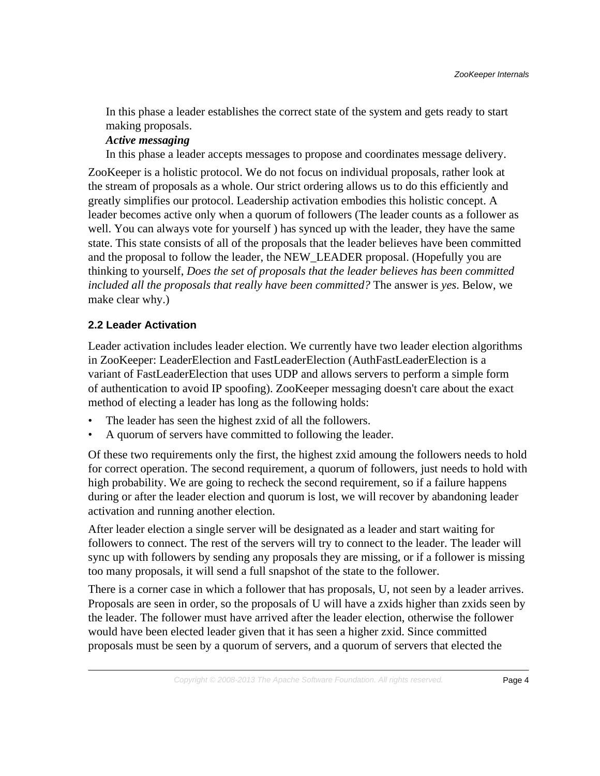In this phase a leader establishes the correct state of the system and gets ready to start making proposals.

#### *Active messaging*

In this phase a leader accepts messages to propose and coordinates message delivery.

ZooKeeper is a holistic protocol. We do not focus on individual proposals, rather look at the stream of proposals as a whole. Our strict ordering allows us to do this efficiently and greatly simplifies our protocol. Leadership activation embodies this holistic concept. A leader becomes active only when a quorum of followers (The leader counts as a follower as well. You can always vote for yourself ) has synced up with the leader, they have the same state. This state consists of all of the proposals that the leader believes have been committed and the proposal to follow the leader, the NEW\_LEADER proposal. (Hopefully you are thinking to yourself, *Does the set of proposals that the leader believes has been committed included all the proposals that really have been committed?* The answer is *yes*. Below, we make clear why.)

## <span id="page-3-0"></span>**2.2 Leader Activation**

Leader activation includes leader election. We currently have two leader election algorithms in ZooKeeper: LeaderElection and FastLeaderElection (AuthFastLeaderElection is a variant of FastLeaderElection that uses UDP and allows servers to perform a simple form of authentication to avoid IP spoofing). ZooKeeper messaging doesn't care about the exact method of electing a leader has long as the following holds:

- The leader has seen the highest zxid of all the followers.
- A quorum of servers have committed to following the leader.

Of these two requirements only the first, the highest zxid amoung the followers needs to hold for correct operation. The second requirement, a quorum of followers, just needs to hold with high probability. We are going to recheck the second requirement, so if a failure happens during or after the leader election and quorum is lost, we will recover by abandoning leader activation and running another election.

After leader election a single server will be designated as a leader and start waiting for followers to connect. The rest of the servers will try to connect to the leader. The leader will sync up with followers by sending any proposals they are missing, or if a follower is missing too many proposals, it will send a full snapshot of the state to the follower.

There is a corner case in which a follower that has proposals, U, not seen by a leader arrives. Proposals are seen in order, so the proposals of U will have a zxids higher than zxids seen by the leader. The follower must have arrived after the leader election, otherwise the follower would have been elected leader given that it has seen a higher zxid. Since committed proposals must be seen by a quorum of servers, and a quorum of servers that elected the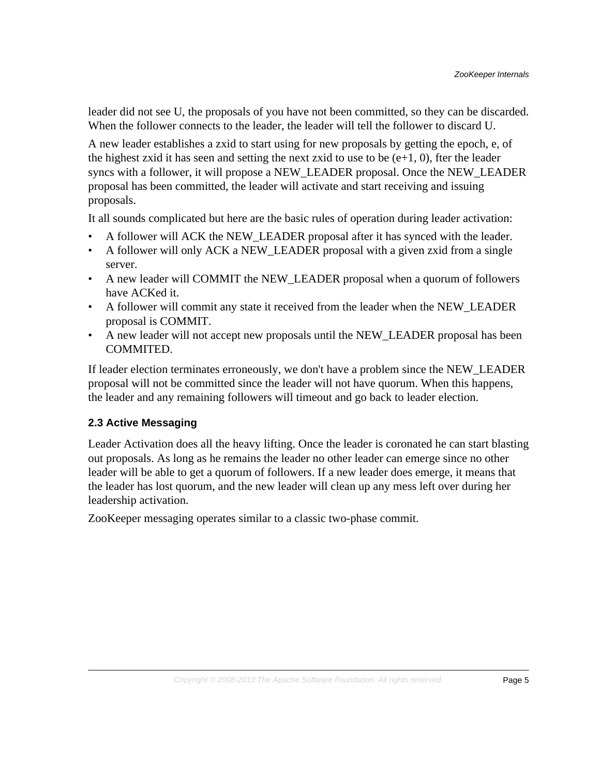leader did not see U, the proposals of you have not been committed, so they can be discarded. When the follower connects to the leader, the leader will tell the follower to discard U.

A new leader establishes a zxid to start using for new proposals by getting the epoch, e, of the highest zxid it has seen and setting the next zxid to use to be  $(e+1, 0)$ , fter the leader syncs with a follower, it will propose a NEW\_LEADER proposal. Once the NEW\_LEADER proposal has been committed, the leader will activate and start receiving and issuing proposals.

It all sounds complicated but here are the basic rules of operation during leader activation:

- A follower will ACK the NEW\_LEADER proposal after it has synced with the leader.
- A follower will only ACK a NEW LEADER proposal with a given zxid from a single server.
- A new leader will COMMIT the NEW\_LEADER proposal when a quorum of followers have ACKed it.
- A follower will commit any state it received from the leader when the NEW\_LEADER proposal is COMMIT.
- A new leader will not accept new proposals until the NEW\_LEADER proposal has been COMMITED.

If leader election terminates erroneously, we don't have a problem since the NEW\_LEADER proposal will not be committed since the leader will not have quorum. When this happens, the leader and any remaining followers will timeout and go back to leader election.

# <span id="page-4-0"></span>**2.3 Active Messaging**

Leader Activation does all the heavy lifting. Once the leader is coronated he can start blasting out proposals. As long as he remains the leader no other leader can emerge since no other leader will be able to get a quorum of followers. If a new leader does emerge, it means that the leader has lost quorum, and the new leader will clean up any mess left over during her leadership activation.

ZooKeeper messaging operates similar to a classic two-phase commit.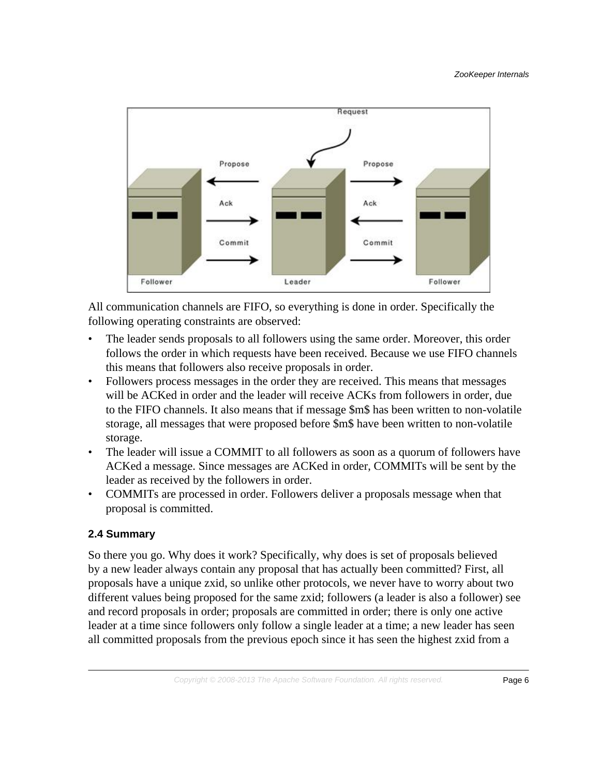

All communication channels are FIFO, so everything is done in order. Specifically the following operating constraints are observed:

- The leader sends proposals to all followers using the same order. Moreover, this order follows the order in which requests have been received. Because we use FIFO channels this means that followers also receive proposals in order.
- Followers process messages in the order they are received. This means that messages will be ACKed in order and the leader will receive ACKs from followers in order, due to the FIFO channels. It also means that if message \$m\$ has been written to non-volatile storage, all messages that were proposed before \$m\$ have been written to non-volatile storage.
- The leader will issue a COMMIT to all followers as soon as a quorum of followers have ACKed a message. Since messages are ACKed in order, COMMITs will be sent by the leader as received by the followers in order.
- COMMITs are processed in order. Followers deliver a proposals message when that proposal is committed.

## <span id="page-5-0"></span>**2.4 Summary**

So there you go. Why does it work? Specifically, why does is set of proposals believed by a new leader always contain any proposal that has actually been committed? First, all proposals have a unique zxid, so unlike other protocols, we never have to worry about two different values being proposed for the same zxid; followers (a leader is also a follower) see and record proposals in order; proposals are committed in order; there is only one active leader at a time since followers only follow a single leader at a time; a new leader has seen all committed proposals from the previous epoch since it has seen the highest zxid from a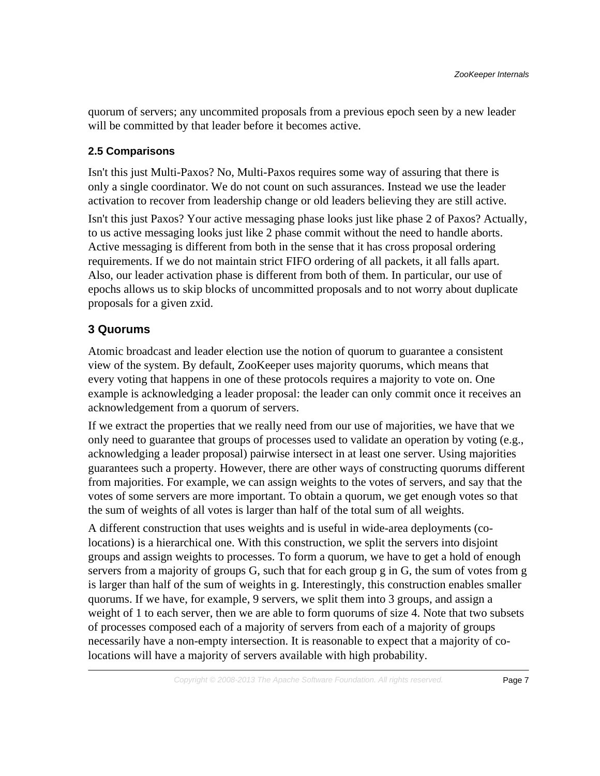quorum of servers; any uncommited proposals from a previous epoch seen by a new leader will be committed by that leader before it becomes active.

#### <span id="page-6-0"></span>**2.5 Comparisons**

Isn't this just Multi-Paxos? No, Multi-Paxos requires some way of assuring that there is only a single coordinator. We do not count on such assurances. Instead we use the leader activation to recover from leadership change or old leaders believing they are still active.

Isn't this just Paxos? Your active messaging phase looks just like phase 2 of Paxos? Actually, to us active messaging looks just like 2 phase commit without the need to handle aborts. Active messaging is different from both in the sense that it has cross proposal ordering requirements. If we do not maintain strict FIFO ordering of all packets, it all falls apart. Also, our leader activation phase is different from both of them. In particular, our use of epochs allows us to skip blocks of uncommitted proposals and to not worry about duplicate proposals for a given zxid.

## <span id="page-6-1"></span>**3 Quorums**

Atomic broadcast and leader election use the notion of quorum to guarantee a consistent view of the system. By default, ZooKeeper uses majority quorums, which means that every voting that happens in one of these protocols requires a majority to vote on. One example is acknowledging a leader proposal: the leader can only commit once it receives an acknowledgement from a quorum of servers.

If we extract the properties that we really need from our use of majorities, we have that we only need to guarantee that groups of processes used to validate an operation by voting (e.g., acknowledging a leader proposal) pairwise intersect in at least one server. Using majorities guarantees such a property. However, there are other ways of constructing quorums different from majorities. For example, we can assign weights to the votes of servers, and say that the votes of some servers are more important. To obtain a quorum, we get enough votes so that the sum of weights of all votes is larger than half of the total sum of all weights.

A different construction that uses weights and is useful in wide-area deployments (colocations) is a hierarchical one. With this construction, we split the servers into disjoint groups and assign weights to processes. To form a quorum, we have to get a hold of enough servers from a majority of groups G, such that for each group g in G, the sum of votes from g is larger than half of the sum of weights in g. Interestingly, this construction enables smaller quorums. If we have, for example, 9 servers, we split them into 3 groups, and assign a weight of 1 to each server, then we are able to form quorums of size 4. Note that two subsets of processes composed each of a majority of servers from each of a majority of groups necessarily have a non-empty intersection. It is reasonable to expect that a majority of colocations will have a majority of servers available with high probability.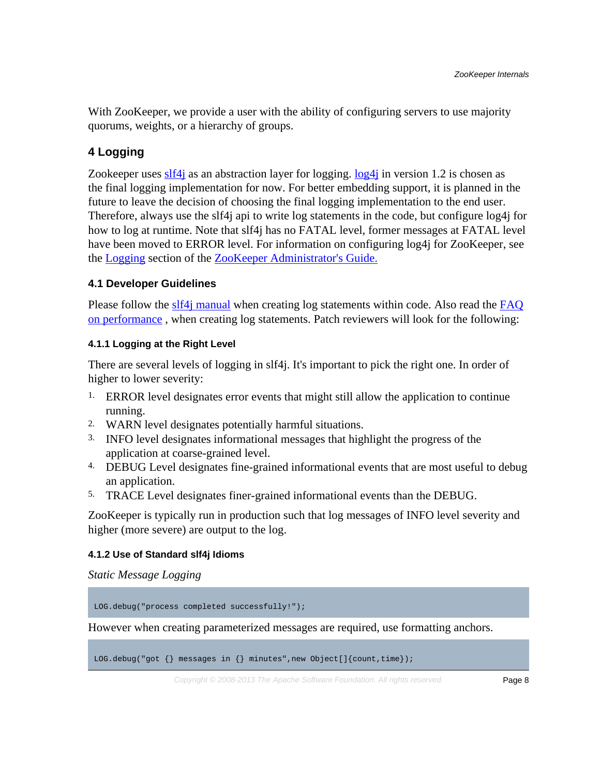With ZooKeeper, we provide a user with the ability of configuring servers to use majority quorums, weights, or a hierarchy of groups.

# <span id="page-7-0"></span>**4 Logging**

Zookeeper uses [slf4j](http://www.slf4j.org/index.html) as an abstraction layer for logging.  $log4j$  in version 1.2 is chosen as the final logging implementation for now. For better embedding support, it is planned in the future to leave the decision of choosing the final logging implementation to the end user. Therefore, always use the slf4j api to write log statements in the code, but configure log4j for how to log at runtime. Note that slf4j has no FATAL level, former messages at FATAL level have been moved to ERROR level. For information on configuring log4j for ZooKeeper, see the [Logging](zookeeperAdmin.html#sc_logging) section of the [ZooKeeper Administrator's Guide.](zookeeperAdmin.html)

## <span id="page-7-1"></span>**4.1 Developer Guidelines**

Please follow the [slf4j manual](http://www.slf4j.org/manual.html) when creating log statements within code. Also read the FAO [on performance](http://www.slf4j.org/faq.html#logging_performance) , when creating log statements. Patch reviewers will look for the following:

#### **4.1.1 Logging at the Right Level**

There are several levels of logging in slf4j. It's important to pick the right one. In order of higher to lower severity:

- 1. ERROR level designates error events that might still allow the application to continue running.
- 2. WARN level designates potentially harmful situations.
- 3. INFO level designates informational messages that highlight the progress of the application at coarse-grained level.
- 4. DEBUG Level designates fine-grained informational events that are most useful to debug an application.
- 5. TRACE Level designates finer-grained informational events than the DEBUG.

ZooKeeper is typically run in production such that log messages of INFO level severity and higher (more severe) are output to the log.

#### **4.1.2 Use of Standard slf4j Idioms**

*Static Message Logging*

LOG.debug("process completed successfully!");

However when creating parameterized messages are required, use formatting anchors.

LOG.debug("got {} messages in {} minutes", new Object[]{count,time});

Copyright  $\odot$  2008-2013 The Apache Software Foundation. All rights reserved. **Page 8**